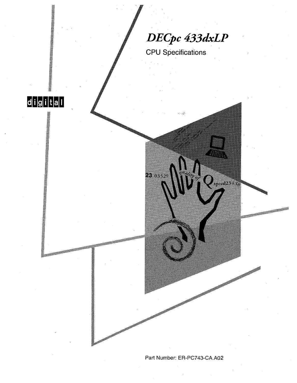

Part Number: ER-PC743-CA.A02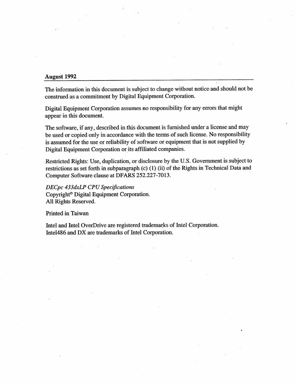### **August 1992**

The information in this document is subject to change without notice and should not be construed as a commitment by Digital Equipment Corporation.

Digital Equipment Corporation assumes no responsibility for any errors that might appear in this document.

The software, if any, described in this document is furnished under a license and may be used or copied only in accordance with the terms of such license. No responsibility is assumed for the use or reliability of software or equipment that is not supplied by Digital Equipment Corporation or its affiliated companies.

Restricted Rights: Use, duplication, or disclosure by the U.S. Government is subject to restrictions as set forth in subparagraph (c) (1) (ii) of the Rights in Technical Data and Computer Software clause at DFARS 252.227-7013.

DECpc 433dxLP CPU Specifications Copyright<sup>®</sup> Digital Equipment Corporation. All Rights Reserved.

Printed in Taiwan

Intel and Intel OverDrive are registered trademarks of Intel Corporation. Intel486 and DX are trademarks of Intel Corporation.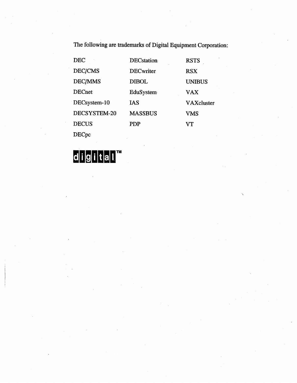The following are trademarks of Digital Equipment Corporation:

| <b>DEC</b>     | <b>DEC</b> station | <b>RSTS</b>   |
|----------------|--------------------|---------------|
| DEC/CMS        | <b>DECwriter</b>   | RSX           |
| <b>DEC/MMS</b> | <b>DIBOL</b>       | <b>UNIBUS</b> |
| <b>DECnet</b>  | EduSystem          | <b>VAX</b>    |
| DECsystem-10   | IAS                | VAXcluster    |
| DECSYSTEM-20   | <b>MASSBUS</b>     | VMS           |
| <b>DECUS</b>   | <b>PDP</b>         | VT            |
| <b>DECpc</b>   |                    |               |

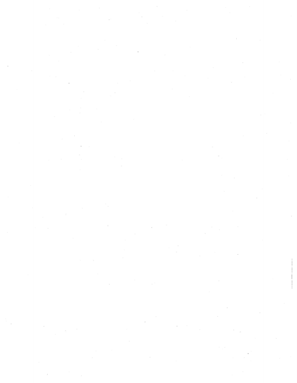$\label{eq:2.1} \begin{split} \mathcal{L}_{\text{max}}(\mathcal{L}_{\text{max}}) = \mathcal{L}_{\text{max}}(\mathcal{L}_{\text{max}}) \end{split}$  $\label{eq:2.1} \begin{split} \mathcal{L}_{\text{max}}(\mathbf{r},\mathbf{r}) = \mathcal{L}_{\text{max}}(\mathbf{r},\mathbf{r}) = \mathcal{L}_{\text{max}}(\mathbf{r},\mathbf{r}) = \mathcal{L}_{\text{max}}(\mathbf{r},\mathbf{r}) = \mathcal{L}_{\text{max}}(\mathbf{r},\mathbf{r}) = \mathcal{L}_{\text{max}}(\mathbf{r},\mathbf{r}) = \mathcal{L}_{\text{max}}(\mathbf{r},\mathbf{r}) = \mathcal{L}_{\text{max}}(\mathbf{r},\mathbf{r}) = \mathcal{L}_{\text{max}}(\mathbf$  $\label{eq:2.1} \frac{1}{2}\sum_{i=1}^n\frac{1}{2}\sum_{j=1}^n\frac{1}{2}\sum_{j=1}^n\frac{1}{2}\sum_{j=1}^n\frac{1}{2}\sum_{j=1}^n\frac{1}{2}\sum_{j=1}^n\frac{1}{2}\sum_{j=1}^n\frac{1}{2}\sum_{j=1}^n\frac{1}{2}\sum_{j=1}^n\frac{1}{2}\sum_{j=1}^n\frac{1}{2}\sum_{j=1}^n\frac{1}{2}\sum_{j=1}^n\frac{1}{2}\sum_{j=1}^n\frac{1}{2}\sum_{j=1}^n\$ 

 $\label{eq:2} \mathcal{L}_{\text{max}} = \frac{1}{\sqrt{2\pi}} \sum_{i=1}^{N} \frac{1}{\sqrt{2\pi}} \sum_{i=1}^{N} \frac{1}{\sqrt{2\pi}} \sum_{i=1}^{N} \frac{1}{\sqrt{2\pi}} \sum_{i=1}^{N} \frac{1}{\sqrt{2\pi}} \sum_{i=1}^{N} \frac{1}{\sqrt{2\pi}} \sum_{i=1}^{N} \frac{1}{\sqrt{2\pi}} \sum_{i=1}^{N} \frac{1}{\sqrt{2\pi}} \sum_{i=1}^{N} \frac{1}{\sqrt{2\pi}} \sum_{i=1}^{N} \frac{$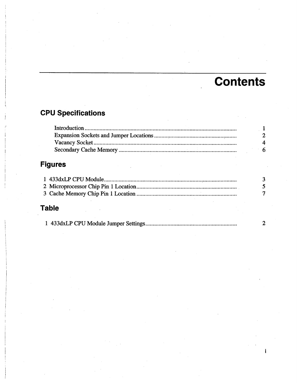# **Contents**

Ĩ.

## **CPU Specifications**

|                | 6 |
|----------------|---|
|                |   |
| <b>Figures</b> |   |
|                |   |
|                |   |
|                |   |
|                |   |
| Table          |   |
|                |   |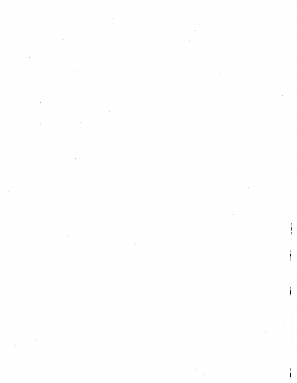$\mathcal{A}=\mathcal{A}^{\mathcal{A}}$  ,  $\label{eq:2} \frac{1}{\sqrt{2}}\sum_{i=1}^n\frac{1}{\sqrt{2}}\sum_{i=1}^n\frac{1}{\sqrt{2}}\sum_{i=1}^n\frac{1}{\sqrt{2}}\sum_{i=1}^n\frac{1}{\sqrt{2}}\sum_{i=1}^n\frac{1}{\sqrt{2}}\sum_{i=1}^n\frac{1}{\sqrt{2}}\sum_{i=1}^n\frac{1}{\sqrt{2}}\sum_{i=1}^n\frac{1}{\sqrt{2}}\sum_{i=1}^n\frac{1}{\sqrt{2}}\sum_{i=1}^n\frac{1}{\sqrt{2}}\sum_{i=1}^n\frac{1$  $\label{eq:2} \begin{split} \mathcal{L}_{\text{eff}} = \frac{1}{2} \left[ \frac{1}{2} \mathcal{L}_{\text{eff}} + \frac{1}{2} \mathcal{L}_{\text{eff}} \right] \mathcal{L}_{\text{eff}} \\ \mathcal{L}_{\text{eff}} = \frac{1}{2} \mathcal{L}_{\text{eff}} + \frac{1}{2} \mathcal{L}_{\text{eff}} + \frac{1}{2} \mathcal{L}_{\text{eff}} \\ \mathcal{L}_{\text{eff}} = \frac{1}{2} \mathcal{L}_{\text{eff}} + \frac{1}{2} \mathcal{L}_{\text{eff}} + \frac{1}{2} \mathcal{L}_{\text$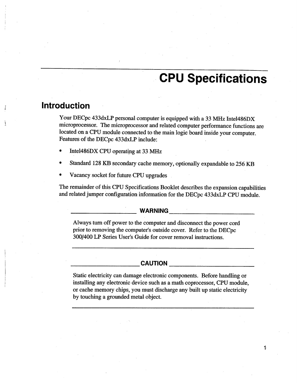$\uparrow$ 

## **Introduction**

Your DECpc 433dxLP personal computer is equipped with a 33 MHz Intel486DX microprocessor. The microprocessor and related computer performance functions are located on a CPU module connected to the main logic board inside your computer. Features of the DECpc 433dxLP include:

Intel486DX CPU operating at 33 MHz

- Standard 128 KB secondary cache memory, optionally expandable to 256 KB
- Vacancy socket for future CPU upgrades

The remainder of this CPU Specifications Booklet describes the expansion capabilities and related jumper configuration information for the DECpc 433dxLP CPU module.

#### **WARNING**

Always turn off power to the computer and disconnect the power cord prior to removing the computer's outside cover. Refer to the DECpc 300/400 LP Series User's Guide for cover removal instructions.

#### **\_\_\_\_\_\_\_\_ CAUTION \_\_\_\_\_\_\_\_ \_**

Static electricity can damage electronic components. Before handling or installing any electronic device such as a math coprocessor, CPU module, or cache memory chips, you must discharge any built up static electricity by touching a grounded metal object.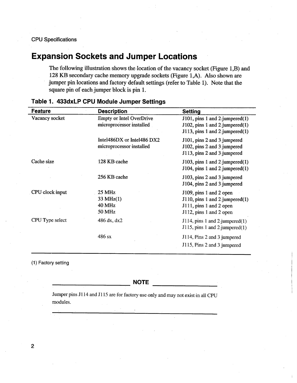## **Expansion Sockets and Jumper Locations**

The following illustration shows the location of the vacancy socket (Figure 1,B) and 128 KB secondary cache memory upgrade sockets (Figure 1,A). Also shown are jumper pin locations and factory default settings (refer to Table 1). Note that the square pin of each jumper block is pin 1.

| <b>Feature</b>  | <b>Description</b>                                          | Setting                                                                                                               |
|-----------------|-------------------------------------------------------------|-----------------------------------------------------------------------------------------------------------------------|
| Vacancy socket  | <b>Empty or Intel OverDrive</b><br>microprocessor installed | $J101$ , pins 1 and 2 jumpered $(1)$<br>J102, pins 1 and 2 jumpered(1)<br>J113, pins 1 and 2 jumpered $(1)$           |
|                 | Intel486DX or Intel486 DX2<br>microprocessor installed      | J101, pins 2 and 3 jumpered<br>J102, pins 2 and 3 jumpered<br>J113, pins 2 and 3 jumpered                             |
| Cache size      | 128 KB cache                                                | $J103$ , pins 1 and 2 jumpered $(1)$<br>$J104$ , pins 1 and 2 jumpered $(1)$                                          |
|                 | 256 KB cache                                                | J103, pins 2 and 3 jumpered<br>J104, pins 2 and 3 jumpered                                                            |
| CPU clock input | 25 MHz<br>33 MHz(1)<br><b>40 MHz</b><br>50 MHz              | $1109$ , pins 1 and 2 open<br>J110, pins 1 and 2 jumpered(1)<br>J111, pins 1 and 2 open<br>$J112$ , pins 1 and 2 open |
| CPU Type select | $486 dx$ , $dx2$                                            | $J114$ , pins 1 and 2 jumpered(1)<br>$1115$ , pins 1 and 2 jumpered $(1)$                                             |
|                 | 486 sx                                                      | J114, Pins 2 and 3 jumpered<br>J115, Pins 2 and 3 jumpered                                                            |

### Table 1. 433dxLP CPU Module Jumper Settings

(1) Factory setting

**NOTE** 

Jumper pins J114 and J115 are for factory use only and may not exist in all CPU modules.

 $\overline{2}$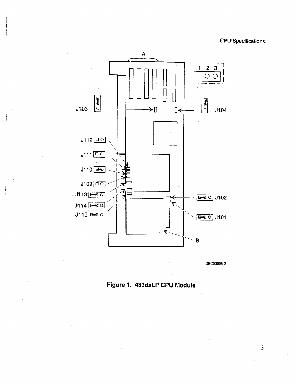

DEC00098-2

Figure 1. 433dxLP CPU Module

 $\overline{3}$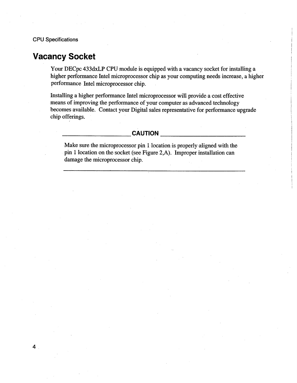## **Vacancy Socket**

Your DECpc 433dxLP CPU module is equipped with a vacancy socket for installing a higher performance Intel microprocessor chip as your computing needs increase, a higher performance Intel microprocessor chip.

Installing a higher performance Intel microprocessor will provide a cost effective means of improving the performance of your computer as advanced technology becomes available. Contact your Digital sales representative for performance upgrade chip offerings.

### **CAUTION**

Make sure the microprocessor pin 1 location is properly aligned with the pin 1 location on the socket (see Figure 2,A). Improper installation can damage the microprocessor chip.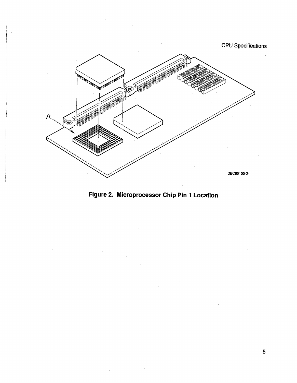



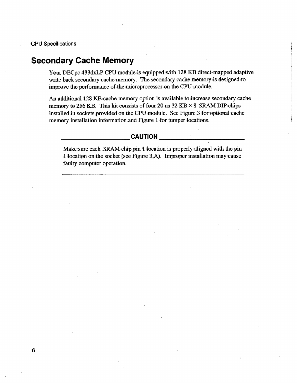## **Secondary Cache Memory**

Your DECpc 433dxLP CPU module is equipped with 128 KB direct-mapped adaptive write back secondary cache memory. The secondary cache memory is designed to improve the performance of the microprocessor on the CPU module.

An additional 128 KB cache memory option is available to increase secondary cache memory to 256 KB. This kit consists of four 20 ns 32 KB × 8 SRAM DIP chips installed in sockets provided on the CPU module. See Figure 3 for optional cache memory installation information and Figure 1 for jumper locations.

#### **CAUTION**

Make sure each SRAM chip pin 1 location is properly aligned with the pin 1 location on the socket (see Figure 3,A). Improper installation may cause faulty computer operation.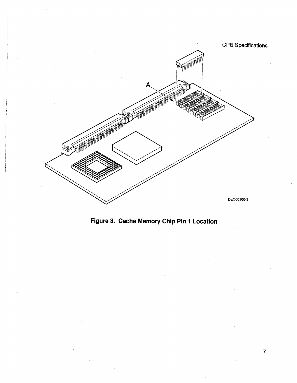

Figure 3. Cache Memory Chip Pin 1 Location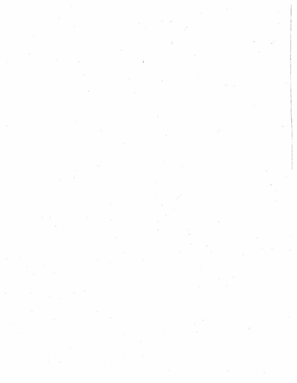$\label{eq:2.1} \frac{1}{\sqrt{2}}\sum_{i=1}^n\frac{1}{\sqrt{2}}\sum_{i=1}^n\frac{1}{\sqrt{2}}\sum_{i=1}^n\frac{1}{\sqrt{2}}\sum_{i=1}^n\frac{1}{\sqrt{2}}\sum_{i=1}^n\frac{1}{\sqrt{2}}\sum_{i=1}^n\frac{1}{\sqrt{2}}\sum_{i=1}^n\frac{1}{\sqrt{2}}\sum_{i=1}^n\frac{1}{\sqrt{2}}\sum_{i=1}^n\frac{1}{\sqrt{2}}\sum_{i=1}^n\frac{1}{\sqrt{2}}\sum_{i=1}^n\frac$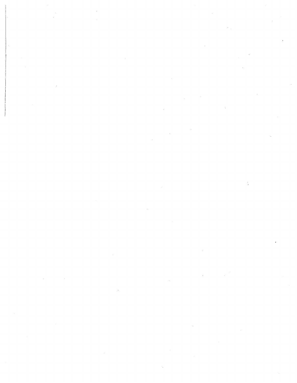